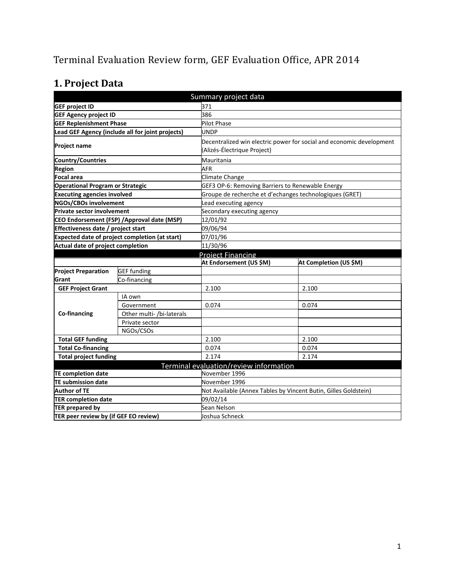# Terminal Evaluation Review form, GEF Evaluation Office, APR 2014

# **1. Project Data**

| Summary project data                    |                                                  |                                                                      |                        |  |  |
|-----------------------------------------|--------------------------------------------------|----------------------------------------------------------------------|------------------------|--|--|
| <b>GEF project ID</b>                   |                                                  | 371                                                                  |                        |  |  |
| <b>GEF Agency project ID</b>            |                                                  | 386                                                                  |                        |  |  |
| <b>GEF Replenishment Phase</b>          |                                                  | <b>Pilot Phase</b>                                                   |                        |  |  |
|                                         | Lead GEF Agency (include all for joint projects) | UNDP                                                                 |                        |  |  |
|                                         |                                                  | Decentralized win electric power for social and economic development |                        |  |  |
| <b>Project name</b>                     |                                                  | (Alizés-Électrique Project)                                          |                        |  |  |
| Country/Countries                       |                                                  | Mauritania                                                           |                        |  |  |
| <b>Region</b>                           |                                                  | <b>AFR</b>                                                           |                        |  |  |
| Focal area                              |                                                  | Climate Change                                                       |                        |  |  |
| <b>Operational Program or Strategic</b> |                                                  | GEF3 OP-6: Removing Barriers to Renewable Energy                     |                        |  |  |
| <b>Executing agencies involved</b>      |                                                  | Groupe de recherche et d'echanges technologiques (GRET)              |                        |  |  |
| <b>NGOs/CBOs involvement</b>            |                                                  | Lead executing agency                                                |                        |  |  |
| <b>Private sector involvement</b>       |                                                  | Secondary executing agency                                           |                        |  |  |
|                                         | CEO Endorsement (FSP) /Approval date (MSP)       | 12/01/92                                                             |                        |  |  |
| Effectiveness date / project start      |                                                  | 09/06/94                                                             |                        |  |  |
|                                         | Expected date of project completion (at start)   | 07/01/96                                                             |                        |  |  |
| Actual date of project completion       |                                                  | 11/30/96                                                             |                        |  |  |
|                                         |                                                  | Proiect Financing                                                    |                        |  |  |
|                                         |                                                  | At Endorsement (US \$M)                                              | At Completion (US \$M) |  |  |
| <b>Project Preparation</b>              | <b>GEF</b> funding                               |                                                                      |                        |  |  |
| Grant                                   | Co-financing                                     |                                                                      |                        |  |  |
| <b>GEF Project Grant</b>                |                                                  | 2.100                                                                | 2.100                  |  |  |
|                                         | IA own                                           |                                                                      |                        |  |  |
|                                         | Government                                       | 0.074                                                                | 0.074                  |  |  |
| Co-financing                            | Other multi- /bi-laterals                        |                                                                      |                        |  |  |
|                                         | Private sector                                   |                                                                      |                        |  |  |
|                                         | NGOs/CSOs                                        |                                                                      |                        |  |  |
| <b>Total GEF funding</b>                |                                                  | 2.100                                                                | 2.100                  |  |  |
| <b>Total Co-financing</b>               |                                                  | 0.074                                                                | 0.074                  |  |  |
| <b>Total project funding</b>            |                                                  | 2.174                                                                | 2.174                  |  |  |
|                                         |                                                  | Terminal evaluation/review information                               |                        |  |  |
| <b>TE completion date</b>               |                                                  | November 1996                                                        |                        |  |  |
| <b>TE submission date</b>               |                                                  | November 1996                                                        |                        |  |  |
| <b>Author of TE</b>                     |                                                  | Not Available (Annex Tables by Vincent Butin, Gilles Goldstein)      |                        |  |  |
| <b>TER completion date</b>              |                                                  | 09/02/14                                                             |                        |  |  |
| <b>TER prepared by</b>                  |                                                  | Sean Nelson                                                          |                        |  |  |
| TER peer review by (if GEF EO review)   |                                                  | Joshua Schneck                                                       |                        |  |  |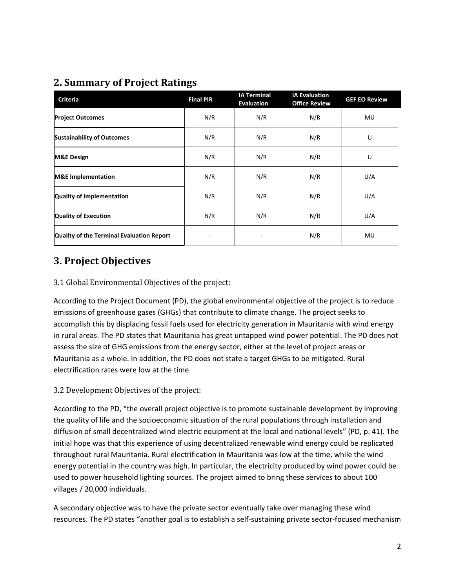## **2. Summary of Project Ratings**

| <b>Criteria</b>                           | <b>Final PIR</b> | <b>IA Terminal</b><br><b>Evaluation</b> | <b>IA Evaluation</b><br><b>Office Review</b> | <b>GEF EO Review</b> |
|-------------------------------------------|------------------|-----------------------------------------|----------------------------------------------|----------------------|
| <b>Project Outcomes</b>                   | N/R              | N/R                                     | N/R                                          | MU                   |
| <b>Sustainability of Outcomes</b>         | N/R              | N/R                                     | N/R                                          | U                    |
| <b>M&amp;E Design</b>                     | N/R              | N/R                                     | N/R                                          | U                    |
| <b>M&amp;E</b> Implementation             | N/R              | N/R                                     | N/R                                          | U/A                  |
| Quality of Implementation                 | N/R              | N/R                                     | N/R                                          | U/A                  |
| <b>Quality of Execution</b>               | N/R              | N/R                                     | N/R                                          | U/A                  |
| Quality of the Terminal Evaluation Report |                  |                                         | N/R                                          | MU                   |

## **3. Project Objectives**

#### 3.1 Global Environmental Objectives of the project:

According to the Project Document (PD), the global environmental objective of the project is to reduce emissions of greenhouse gases (GHGs) that contribute to climate change. The project seeks to accomplish this by displacing fossil fuels used for electricity generation in Mauritania with wind energy in rural areas. The PD states that Mauritania has great untapped wind power potential. The PD does not assess the size of GHG emissions from the energy sector, either at the level of project areas or Mauritania as a whole. In addition, the PD does not state a target GHGs to be mitigated. Rural electrification rates were low at the time.

#### 3.2 Development Objectives of the project:

According to the PD, "the overall project objective is to promote sustainable development by improving the quality of life and the socioeconomic situation of the rural populations through installation and diffusion of small decentralized wind electric equipment at the local and national levels" (PD, p. 41). The initial hope was that this experience of using decentralized renewable wind energy could be replicated throughout rural Mauritania. Rural electrification in Mauritania was low at the time, while the wind energy potential in the country was high. In particular, the electricity produced by wind power could be used to power household lighting sources. The project aimed to bring these services to about 100 villages / 20,000 individuals.

A secondary objective was to have the private sector eventually take over managing these wind resources. The PD states "another goal is to establish a self-sustaining private sector-focused mechanism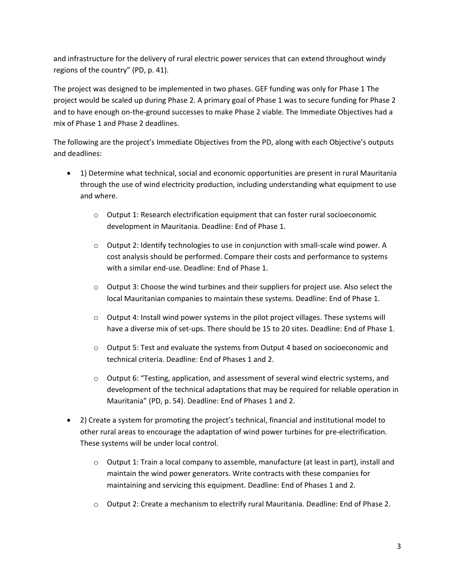and infrastructure for the delivery of rural electric power services that can extend throughout windy regions of the country" (PD, p. 41).

The project was designed to be implemented in two phases. GEF funding was only for Phase 1 The project would be scaled up during Phase 2. A primary goal of Phase 1 was to secure funding for Phase 2 and to have enough on-the-ground successes to make Phase 2 viable. The Immediate Objectives had a mix of Phase 1 and Phase 2 deadlines.

The following are the project's Immediate Objectives from the PD, along with each Objective's outputs and deadlines:

- 1) Determine what technical, social and economic opportunities are present in rural Mauritania through the use of wind electricity production, including understanding what equipment to use and where.
	- $\circ$  Output 1: Research electrification equipment that can foster rural socioeconomic development in Mauritania. Deadline: End of Phase 1.
	- o Output 2: Identify technologies to use in conjunction with small-scale wind power. A cost analysis should be performed. Compare their costs and performance to systems with a similar end-use. Deadline: End of Phase 1.
	- o Output 3: Choose the wind turbines and their suppliers for project use. Also select the local Mauritanian companies to maintain these systems. Deadline: End of Phase 1.
	- o Output 4: Install wind power systems in the pilot project villages. These systems will have a diverse mix of set-ups. There should be 15 to 20 sites. Deadline: End of Phase 1.
	- o Output 5: Test and evaluate the systems from Output 4 based on socioeconomic and technical criteria. Deadline: End of Phases 1 and 2.
	- o Output 6: "Testing, application, and assessment of several wind electric systems, and development of the technical adaptations that may be required for reliable operation in Mauritania" (PD, p. 54). Deadline: End of Phases 1 and 2.
- 2) Create a system for promoting the project's technical, financial and institutional model to other rural areas to encourage the adaptation of wind power turbines for pre-electrification. These systems will be under local control.
	- $\circ$  Output 1: Train a local company to assemble, manufacture (at least in part), install and maintain the wind power generators. Write contracts with these companies for maintaining and servicing this equipment. Deadline: End of Phases 1 and 2.
	- o Output 2: Create a mechanism to electrify rural Mauritania. Deadline: End of Phase 2.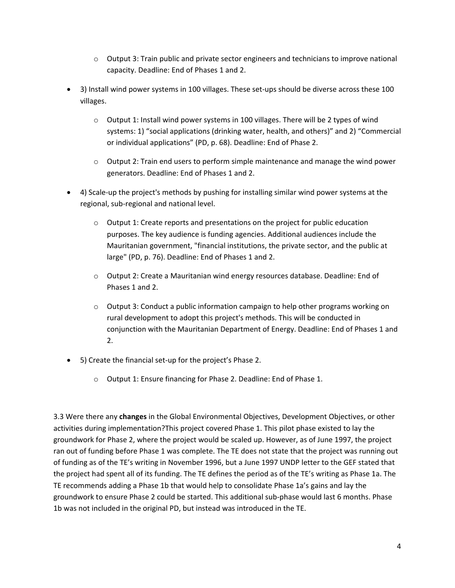- $\circ$  Output 3: Train public and private sector engineers and technicians to improve national capacity. Deadline: End of Phases 1 and 2.
- 3) Install wind power systems in 100 villages. These set-ups should be diverse across these 100 villages.
	- $\circ$  Output 1: Install wind power systems in 100 villages. There will be 2 types of wind systems: 1) "social applications (drinking water, health, and others)" and 2) "Commercial or individual applications" (PD, p. 68). Deadline: End of Phase 2.
	- $\circ$  Output 2: Train end users to perform simple maintenance and manage the wind power generators. Deadline: End of Phases 1 and 2.
- 4) Scale-up the project's methods by pushing for installing similar wind power systems at the regional, sub-regional and national level.
	- $\circ$  Output 1: Create reports and presentations on the project for public education purposes. The key audience is funding agencies. Additional audiences include the Mauritanian government, "financial institutions, the private sector, and the public at large" (PD, p. 76). Deadline: End of Phases 1 and 2.
	- $\circ$  Output 2: Create a Mauritanian wind energy resources database. Deadline: End of Phases 1 and 2.
	- $\circ$  Output 3: Conduct a public information campaign to help other programs working on rural development to adopt this project's methods. This will be conducted in conjunction with the Mauritanian Department of Energy. Deadline: End of Phases 1 and 2.
- 5) Create the financial set-up for the project's Phase 2.
	- o Output 1: Ensure financing for Phase 2. Deadline: End of Phase 1.

3.3 Were there any **changes** in the Global Environmental Objectives, Development Objectives, or other activities during implementation?This project covered Phase 1. This pilot phase existed to lay the groundwork for Phase 2, where the project would be scaled up. However, as of June 1997, the project ran out of funding before Phase 1 was complete. The TE does not state that the project was running out of funding as of the TE's writing in November 1996, but a June 1997 UNDP letter to the GEF stated that the project had spent all of its funding. The TE defines the period as of the TE's writing as Phase 1a. The TE recommends adding a Phase 1b that would help to consolidate Phase 1a's gains and lay the groundwork to ensure Phase 2 could be started. This additional sub-phase would last 6 months. Phase 1b was not included in the original PD, but instead was introduced in the TE.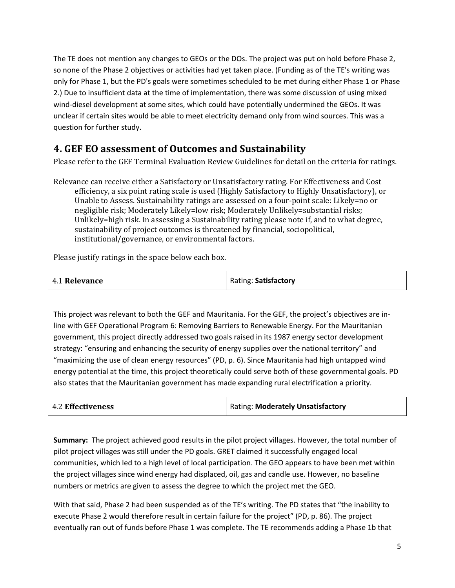The TE does not mention any changes to GEOs or the DOs. The project was put on hold before Phase 2, so none of the Phase 2 objectives or activities had yet taken place. (Funding as of the TE's writing was only for Phase 1, but the PD's goals were sometimes scheduled to be met during either Phase 1 or Phase 2.) Due to insufficient data at the time of implementation, there was some discussion of using mixed wind-diesel development at some sites, which could have potentially undermined the GEOs. It was unclear if certain sites would be able to meet electricity demand only from wind sources. This was a question for further study.

### **4. GEF EO assessment of Outcomes and Sustainability**

Please refer to the GEF Terminal Evaluation Review Guidelines for detail on the criteria for ratings.

Relevance can receive either a Satisfactory or Unsatisfactory rating. For Effectiveness and Cost efficiency, a six point rating scale is used (Highly Satisfactory to Highly Unsatisfactory), or Unable to Assess. Sustainability ratings are assessed on a four-point scale: Likely=no or negligible risk; Moderately Likely=low risk; Moderately Unlikely=substantial risks; Unlikely=high risk. In assessing a Sustainability rating please note if, and to what degree, sustainability of project outcomes is threatened by financial, sociopolitical, institutional/governance, or environmental factors.

Please justify ratings in the space below each box.

| 4.1 Relevance | Rating: Satisfactory |
|---------------|----------------------|
|               |                      |

This project was relevant to both the GEF and Mauritania. For the GEF, the project's objectives are inline with GEF Operational Program 6: Removing Barriers to Renewable Energy. For the Mauritanian government, this project directly addressed two goals raised in its 1987 energy sector development strategy: "ensuring and enhancing the security of energy supplies over the national territory" and "maximizing the use of clean energy resources" (PD, p. 6). Since Mauritania had high untapped wind energy potential at the time, this project theoretically could serve both of these governmental goals. PD also states that the Mauritanian government has made expanding rural electrification a priority.

| <b>4.2 Effectiveness</b> | <b>Rating: Moderately Unsatisfactory</b> |
|--------------------------|------------------------------------------|
|                          |                                          |

**Summary:** The project achieved good results in the pilot project villages. However, the total number of pilot project villages was still under the PD goals. GRET claimed it successfully engaged local communities, which led to a high level of local participation. The GEO appears to have been met within the project villages since wind energy had displaced, oil, gas and candle use. However, no baseline numbers or metrics are given to assess the degree to which the project met the GEO.

With that said, Phase 2 had been suspended as of the TE's writing. The PD states that "the inability to execute Phase 2 would therefore result in certain failure for the project" (PD, p. 86). The project eventually ran out of funds before Phase 1 was complete. The TE recommends adding a Phase 1b that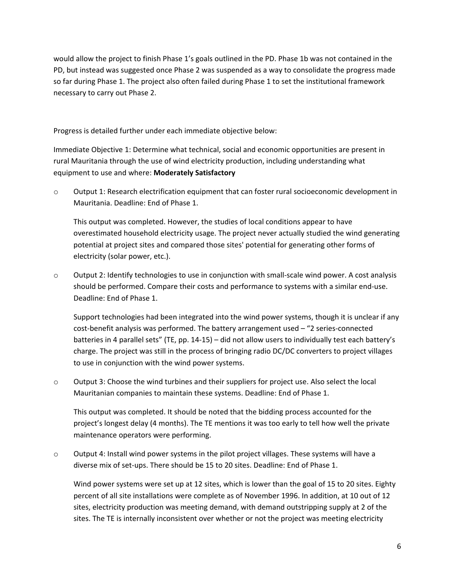would allow the project to finish Phase 1's goals outlined in the PD. Phase 1b was not contained in the PD, but instead was suggested once Phase 2 was suspended as a way to consolidate the progress made so far during Phase 1. The project also often failed during Phase 1 to set the institutional framework necessary to carry out Phase 2.

Progress is detailed further under each immediate objective below:

Immediate Objective 1: Determine what technical, social and economic opportunities are present in rural Mauritania through the use of wind electricity production, including understanding what equipment to use and where: **Moderately Satisfactory**

o Output 1: Research electrification equipment that can foster rural socioeconomic development in Mauritania. Deadline: End of Phase 1.

This output was completed. However, the studies of local conditions appear to have overestimated household electricity usage. The project never actually studied the wind generating potential at project sites and compared those sites' potential for generating other forms of electricity (solar power, etc.).

 $\circ$  Output 2: Identify technologies to use in conjunction with small-scale wind power. A cost analysis should be performed. Compare their costs and performance to systems with a similar end-use. Deadline: End of Phase 1.

Support technologies had been integrated into the wind power systems, though it is unclear if any cost-benefit analysis was performed. The battery arrangement used – "2 series-connected batteries in 4 parallel sets" (TE, pp. 14-15) – did not allow users to individually test each battery's charge. The project was still in the process of bringing radio DC/DC converters to project villages to use in conjunction with the wind power systems.

 $\circ$  Output 3: Choose the wind turbines and their suppliers for project use. Also select the local Mauritanian companies to maintain these systems. Deadline: End of Phase 1.

This output was completed. It should be noted that the bidding process accounted for the project's longest delay (4 months). The TE mentions it was too early to tell how well the private maintenance operators were performing.

 $\circ$  Output 4: Install wind power systems in the pilot project villages. These systems will have a diverse mix of set-ups. There should be 15 to 20 sites. Deadline: End of Phase 1.

Wind power systems were set up at 12 sites, which is lower than the goal of 15 to 20 sites. Eighty percent of all site installations were complete as of November 1996. In addition, at 10 out of 12 sites, electricity production was meeting demand, with demand outstripping supply at 2 of the sites. The TE is internally inconsistent over whether or not the project was meeting electricity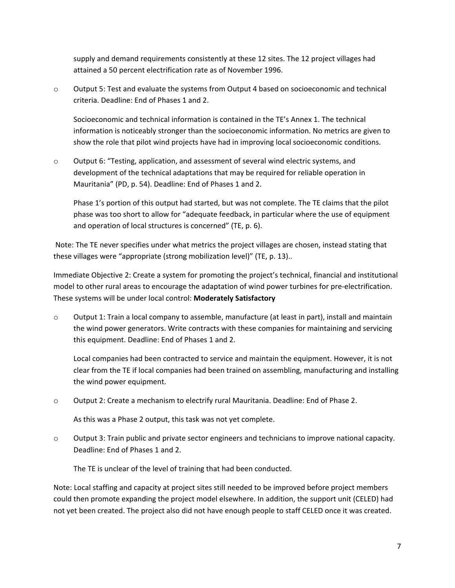supply and demand requirements consistently at these 12 sites. The 12 project villages had attained a 50 percent electrification rate as of November 1996.

 $\circ$  Output 5: Test and evaluate the systems from Output 4 based on socioeconomic and technical criteria. Deadline: End of Phases 1 and 2.

Socioeconomic and technical information is contained in the TE's Annex 1. The technical information is noticeably stronger than the socioeconomic information. No metrics are given to show the role that pilot wind projects have had in improving local socioeconomic conditions.

o Output 6: "Testing, application, and assessment of several wind electric systems, and development of the technical adaptations that may be required for reliable operation in Mauritania" (PD, p. 54). Deadline: End of Phases 1 and 2.

Phase 1's portion of this output had started, but was not complete. The TE claims that the pilot phase was too short to allow for "adequate feedback, in particular where the use of equipment and operation of local structures is concerned" (TE, p. 6).

Note: The TE never specifies under what metrics the project villages are chosen, instead stating that these villages were "appropriate (strong mobilization level)" (TE, p. 13)..

Immediate Objective 2: Create a system for promoting the project's technical, financial and institutional model to other rural areas to encourage the adaptation of wind power turbines for pre-electrification. These systems will be under local control: **Moderately Satisfactory**

 $\circ$  Output 1: Train a local company to assemble, manufacture (at least in part), install and maintain the wind power generators. Write contracts with these companies for maintaining and servicing this equipment. Deadline: End of Phases 1 and 2.

Local companies had been contracted to service and maintain the equipment. However, it is not clear from the TE if local companies had been trained on assembling, manufacturing and installing the wind power equipment.

o Output 2: Create a mechanism to electrify rural Mauritania. Deadline: End of Phase 2.

As this was a Phase 2 output, this task was not yet complete.

 $\circ$  Output 3: Train public and private sector engineers and technicians to improve national capacity. Deadline: End of Phases 1 and 2.

The TE is unclear of the level of training that had been conducted.

Note: Local staffing and capacity at project sites still needed to be improved before project members could then promote expanding the project model elsewhere. In addition, the support unit (CELED) had not yet been created. The project also did not have enough people to staff CELED once it was created.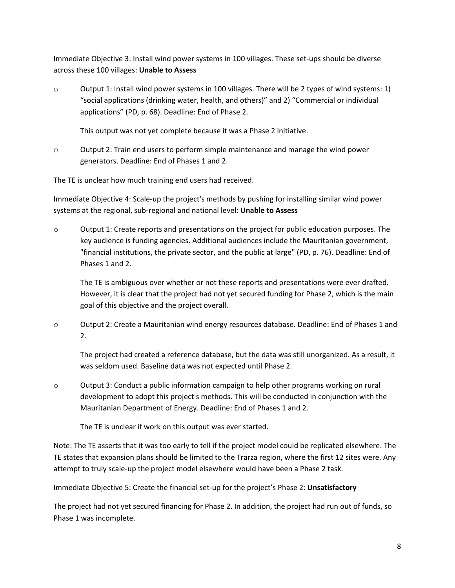Immediate Objective 3: Install wind power systems in 100 villages. These set-ups should be diverse across these 100 villages: **Unable to Assess**

 $\circ$  Output 1: Install wind power systems in 100 villages. There will be 2 types of wind systems: 1) "social applications (drinking water, health, and others)" and 2) "Commercial or individual applications" (PD, p. 68). Deadline: End of Phase 2.

This output was not yet complete because it was a Phase 2 initiative.

o Output 2: Train end users to perform simple maintenance and manage the wind power generators. Deadline: End of Phases 1 and 2.

The TE is unclear how much training end users had received.

Immediate Objective 4: Scale-up the project's methods by pushing for installing similar wind power systems at the regional, sub-regional and national level: **Unable to Assess**

o Output 1: Create reports and presentations on the project for public education purposes. The key audience is funding agencies. Additional audiences include the Mauritanian government, "financial institutions, the private sector, and the public at large" (PD, p. 76). Deadline: End of Phases 1 and 2.

The TE is ambiguous over whether or not these reports and presentations were ever drafted. However, it is clear that the project had not yet secured funding for Phase 2, which is the main goal of this objective and the project overall.

o Output 2: Create a Mauritanian wind energy resources database. Deadline: End of Phases 1 and 2.

The project had created a reference database, but the data was still unorganized. As a result, it was seldom used. Baseline data was not expected until Phase 2.

 $\circ$  Output 3: Conduct a public information campaign to help other programs working on rural development to adopt this project's methods. This will be conducted in conjunction with the Mauritanian Department of Energy. Deadline: End of Phases 1 and 2.

The TE is unclear if work on this output was ever started.

Note: The TE asserts that it was too early to tell if the project model could be replicated elsewhere. The TE states that expansion plans should be limited to the Trarza region, where the first 12 sites were. Any attempt to truly scale-up the project model elsewhere would have been a Phase 2 task.

Immediate Objective 5: Create the financial set-up for the project's Phase 2: **Unsatisfactory**

The project had not yet secured financing for Phase 2. In addition, the project had run out of funds, so Phase 1 was incomplete.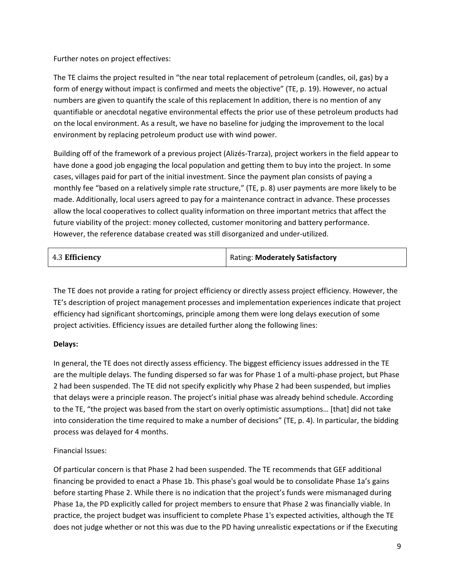Further notes on project effectives:

The TE claims the project resulted in "the near total replacement of petroleum (candles, oil, gas) by a form of energy without impact is confirmed and meets the objective" (TE, p. 19). However, no actual numbers are given to quantify the scale of this replacement In addition, there is no mention of any quantifiable or anecdotal negative environmental effects the prior use of these petroleum products had on the local environment. As a result, we have no baseline for judging the improvement to the local environment by replacing petroleum product use with wind power.

Building off of the framework of a previous project (Alizés-Trarza), project workers in the field appear to have done a good job engaging the local population and getting them to buy into the project. In some cases, villages paid for part of the initial investment. Since the payment plan consists of paying a monthly fee "based on a relatively simple rate structure," (TE, p. 8) user payments are more likely to be made. Additionally, local users agreed to pay for a maintenance contract in advance. These processes allow the local cooperatives to collect quality information on three important metrics that affect the future viability of the project: money collected, customer monitoring and battery performance. However, the reference database created was still disorganized and under-utilized.

The TE does not provide a rating for project efficiency or directly assess project efficiency. However, the TE's description of project management processes and implementation experiences indicate that project efficiency had significant shortcomings, principle among them were long delays execution of some project activities. Efficiency issues are detailed further along the following lines:

#### **Delays:**

In general, the TE does not directly assess efficiency. The biggest efficiency issues addressed in the TE are the multiple delays. The funding dispersed so far was for Phase 1 of a multi-phase project, but Phase 2 had been suspended. The TE did not specify explicitly why Phase 2 had been suspended, but implies that delays were a principle reason. The project's initial phase was already behind schedule. According to the TE, "the project was based from the start on overly optimistic assumptions… [that] did not take into consideration the time required to make a number of decisions" (TE, p. 4). In particular, the bidding process was delayed for 4 months.

#### Financial Issues:

Of particular concern is that Phase 2 had been suspended. The TE recommends that GEF additional financing be provided to enact a Phase 1b. This phase's goal would be to consolidate Phase 1a's gains before starting Phase 2. While there is no indication that the project's funds were mismanaged during Phase 1a, the PD explicitly called for project members to ensure that Phase 2 was financially viable. In practice, the project budget was insufficient to complete Phase 1's expected activities, although the TE does not judge whether or not this was due to the PD having unrealistic expectations or if the Executing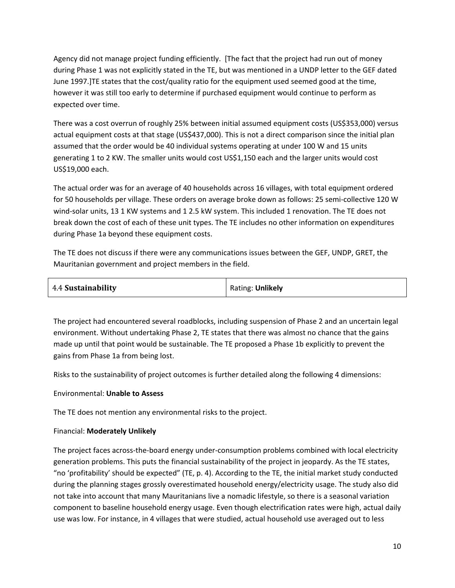Agency did not manage project funding efficiently. [The fact that the project had run out of money during Phase 1 was not explicitly stated in the TE, but was mentioned in a UNDP letter to the GEF dated June 1997.]TE states that the cost/quality ratio for the equipment used seemed good at the time, however it was still too early to determine if purchased equipment would continue to perform as expected over time.

There was a cost overrun of roughly 25% between initial assumed equipment costs (US\$353,000) versus actual equipment costs at that stage (US\$437,000). This is not a direct comparison since the initial plan assumed that the order would be 40 individual systems operating at under 100 W and 15 units generating 1 to 2 KW. The smaller units would cost US\$1,150 each and the larger units would cost US\$19,000 each.

The actual order was for an average of 40 households across 16 villages, with total equipment ordered for 50 households per village. These orders on average broke down as follows: 25 semi-collective 120 W wind-solar units, 13 1 KW systems and 1 2.5 kW system. This included 1 renovation. The TE does not break down the cost of each of these unit types. The TE includes no other information on expenditures during Phase 1a beyond these equipment costs.

The TE does not discuss if there were any communications issues between the GEF, UNDP, GRET, the Mauritanian government and project members in the field.

| 4.4 Sustainability | Rating: Unlikely |
|--------------------|------------------|
|--------------------|------------------|

The project had encountered several roadblocks, including suspension of Phase 2 and an uncertain legal environment. Without undertaking Phase 2, TE states that there was almost no chance that the gains made up until that point would be sustainable. The TE proposed a Phase 1b explicitly to prevent the gains from Phase 1a from being lost.

Risks to the sustainability of project outcomes is further detailed along the following 4 dimensions:

#### Environmental: **Unable to Assess**

The TE does not mention any environmental risks to the project.

#### Financial: **Moderately Unlikely**

The project faces across-the-board energy under-consumption problems combined with local electricity generation problems. This puts the financial sustainability of the project in jeopardy. As the TE states, "no 'profitability' should be expected" (TE, p. 4). According to the TE, the initial market study conducted during the planning stages grossly overestimated household energy/electricity usage. The study also did not take into account that many Mauritanians live a nomadic lifestyle, so there is a seasonal variation component to baseline household energy usage. Even though electrification rates were high, actual daily use was low. For instance, in 4 villages that were studied, actual household use averaged out to less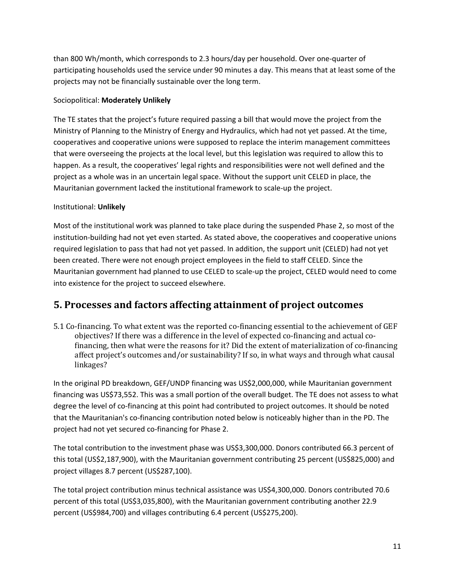than 800 Wh/month, which corresponds to 2.3 hours/day per household. Over one-quarter of participating households used the service under 90 minutes a day. This means that at least some of the projects may not be financially sustainable over the long term.

#### Sociopolitical: **Moderately Unlikely**

The TE states that the project's future required passing a bill that would move the project from the Ministry of Planning to the Ministry of Energy and Hydraulics, which had not yet passed. At the time, cooperatives and cooperative unions were supposed to replace the interim management committees that were overseeing the projects at the local level, but this legislation was required to allow this to happen. As a result, the cooperatives' legal rights and responsibilities were not well defined and the project as a whole was in an uncertain legal space. Without the support unit CELED in place, the Mauritanian government lacked the institutional framework to scale-up the project.

#### Institutional: **Unlikely**

Most of the institutional work was planned to take place during the suspended Phase 2, so most of the institution-building had not yet even started. As stated above, the cooperatives and cooperative unions required legislation to pass that had not yet passed. In addition, the support unit (CELED) had not yet been created. There were not enough project employees in the field to staff CELED. Since the Mauritanian government had planned to use CELED to scale-up the project, CELED would need to come into existence for the project to succeed elsewhere.

### **5. Processes and factors affecting attainment of project outcomes**

5.1 Co-financing. To what extent was the reported co-financing essential to the achievement of GEF objectives? If there was a difference in the level of expected co-financing and actual cofinancing, then what were the reasons for it? Did the extent of materialization of co-financing affect project's outcomes and/or sustainability? If so, in what ways and through what causal linkages?

In the original PD breakdown, GEF/UNDP financing was US\$2,000,000, while Mauritanian government financing was US\$73,552. This was a small portion of the overall budget. The TE does not assess to what degree the level of co-financing at this point had contributed to project outcomes. It should be noted that the Mauritanian's co-financing contribution noted below is noticeably higher than in the PD. The project had not yet secured co-financing for Phase 2.

The total contribution to the investment phase was US\$3,300,000. Donors contributed 66.3 percent of this total (US\$2,187,900), with the Mauritanian government contributing 25 percent (US\$825,000) and project villages 8.7 percent (US\$287,100).

The total project contribution minus technical assistance was US\$4,300,000. Donors contributed 70.6 percent of this total (US\$3,035,800), with the Mauritanian government contributing another 22.9 percent (US\$984,700) and villages contributing 6.4 percent (US\$275,200).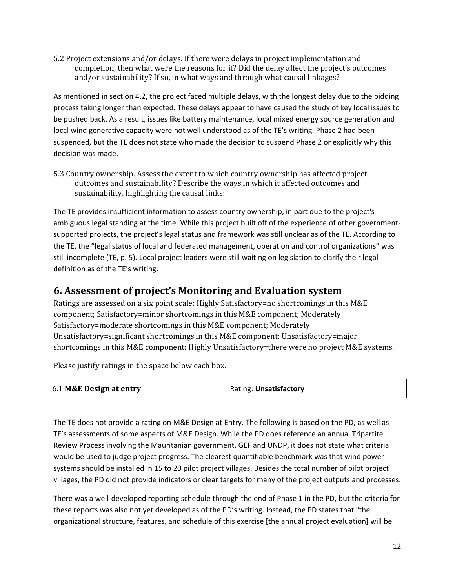5.2 Project extensions and/or delays. If there were delays in project implementation and completion, then what were the reasons for it? Did the delay affect the project's outcomes and/or sustainability? If so, in what ways and through what causal linkages?

As mentioned in section 4.2, the project faced multiple delays, with the longest delay due to the bidding process taking longer than expected. These delays appear to have caused the study of key local issues to be pushed back. As a result, issues like battery maintenance, local mixed energy source generation and local wind generative capacity were not well understood as of the TE's writing. Phase 2 had been suspended, but the TE does not state who made the decision to suspend Phase 2 or explicitly why this decision was made.

5.3 Country ownership. Assess the extent to which country ownership has affected project outcomes and sustainability? Describe the ways in which it affected outcomes and sustainability, highlighting the causal links:

The TE provides insufficient information to assess country ownership, in part due to the project's ambiguous legal standing at the time. While this project built off of the experience of other governmentsupported projects, the project's legal status and framework was still unclear as of the TE. According to the TE, the "legal status of local and federated management, operation and control organizations" was still incomplete (TE, p. 5). Local project leaders were still waiting on legislation to clarify their legal definition as of the TE's writing.

### **6. Assessment of project's Monitoring and Evaluation system**

Ratings are assessed on a six point scale: Highly Satisfactory=no shortcomings in this M&E component; Satisfactory=minor shortcomings in this M&E component; Moderately Satisfactory=moderate shortcomings in this M&E component; Moderately Unsatisfactory=significant shortcomings in this M&E component; Unsatisfactory=major shortcomings in this M&E component; Highly Unsatisfactory=there were no project M&E systems.

Please justify ratings in the space below each box.

| 6.1 M&E Design at entry | Rating: Unsatisfactory |
|-------------------------|------------------------|
|                         |                        |

The TE does not provide a rating on M&E Design at Entry. The following is based on the PD, as well as TE's assessments of some aspects of M&E Design. While the PD does reference an annual Tripartite Review Process involving the Mauritanian government, GEF and UNDP, it does not state what criteria would be used to judge project progress. The clearest quantifiable benchmark was that wind power systems should be installed in 15 to 20 pilot project villages. Besides the total number of pilot project villages, the PD did not provide indicators or clear targets for many of the project outputs and processes.

There was a well-developed reporting schedule through the end of Phase 1 in the PD, but the criteria for these reports was also not yet developed as of the PD's writing. Instead, the PD states that "the organizational structure, features, and schedule of this exercise [the annual project evaluation] will be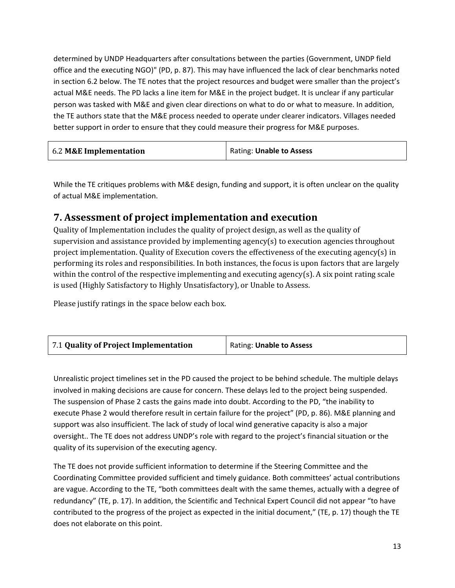determined by UNDP Headquarters after consultations between the parties (Government, UNDP field office and the executing NGO)" (PD, p. 87). This may have influenced the lack of clear benchmarks noted in section 6.2 below. The TE notes that the project resources and budget were smaller than the project's actual M&E needs. The PD lacks a line item for M&E in the project budget. It is unclear if any particular person was tasked with M&E and given clear directions on what to do or what to measure. In addition, the TE authors state that the M&E process needed to operate under clearer indicators. Villages needed better support in order to ensure that they could measure their progress for M&E purposes.

While the TE critiques problems with M&E design, funding and support, it is often unclear on the quality of actual M&E implementation.

### **7. Assessment of project implementation and execution**

Quality of Implementation includes the quality of project design, as well as the quality of supervision and assistance provided by implementing agency(s) to execution agencies throughout project implementation. Quality of Execution covers the effectiveness of the executing agency(s) in performing its roles and responsibilities. In both instances, the focus is upon factors that are largely within the control of the respective implementing and executing agency(s). A six point rating scale is used (Highly Satisfactory to Highly Unsatisfactory), or Unable to Assess.

Please justify ratings in the space below each box.

| 7.1 Quality of Project Implementation | Rating: Unable to Assess |
|---------------------------------------|--------------------------|
|---------------------------------------|--------------------------|

Unrealistic project timelines set in the PD caused the project to be behind schedule. The multiple delays involved in making decisions are cause for concern. These delays led to the project being suspended. The suspension of Phase 2 casts the gains made into doubt. According to the PD, "the inability to execute Phase 2 would therefore result in certain failure for the project" (PD, p. 86). M&E planning and support was also insufficient. The lack of study of local wind generative capacity is also a major oversight.. The TE does not address UNDP's role with regard to the project's financial situation or the quality of its supervision of the executing agency.

The TE does not provide sufficient information to determine if the Steering Committee and the Coordinating Committee provided sufficient and timely guidance. Both committees' actual contributions are vague. According to the TE, "both committees dealt with the same themes, actually with a degree of redundancy" (TE, p. 17). In addition, the Scientific and Technical Expert Council did not appear "to have contributed to the progress of the project as expected in the initial document," (TE, p. 17) though the TE does not elaborate on this point.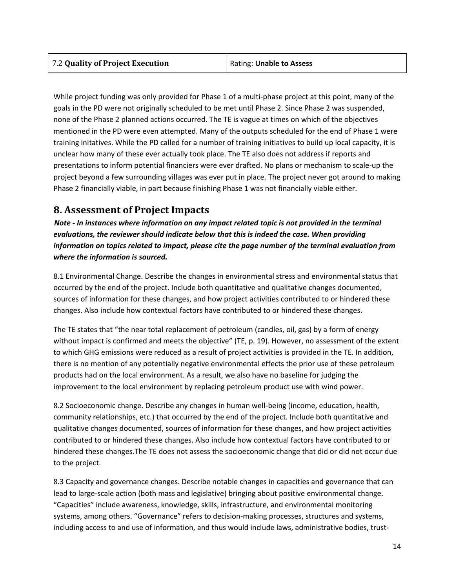While project funding was only provided for Phase 1 of a multi-phase project at this point, many of the goals in the PD were not originally scheduled to be met until Phase 2. Since Phase 2 was suspended, none of the Phase 2 planned actions occurred. The TE is vague at times on which of the objectives mentioned in the PD were even attempted. Many of the outputs scheduled for the end of Phase 1 were training initatives. While the PD called for a number of training initiatives to build up local capacity, it is unclear how many of these ever actually took place. The TE also does not address if reports and presentations to inform potential financiers were ever drafted. No plans or mechanism to scale-up the project beyond a few surrounding villages was ever put in place. The project never got around to making Phase 2 financially viable, in part because finishing Phase 1 was not financially viable either.

## **8. Assessment of Project Impacts**

*Note - In instances where information on any impact related topic is not provided in the terminal evaluations, the reviewer should indicate below that this is indeed the case. When providing information on topics related to impact, please cite the page number of the terminal evaluation from where the information is sourced.*

8.1 Environmental Change. Describe the changes in environmental stress and environmental status that occurred by the end of the project. Include both quantitative and qualitative changes documented, sources of information for these changes, and how project activities contributed to or hindered these changes. Also include how contextual factors have contributed to or hindered these changes.

The TE states that "the near total replacement of petroleum (candles, oil, gas) by a form of energy without impact is confirmed and meets the objective" (TE, p. 19). However, no assessment of the extent to which GHG emissions were reduced as a result of project activities is provided in the TE. In addition, there is no mention of any potentially negative environmental effects the prior use of these petroleum products had on the local environment. As a result, we also have no baseline for judging the improvement to the local environment by replacing petroleum product use with wind power.

8.2 Socioeconomic change. Describe any changes in human well-being (income, education, health, community relationships, etc.) that occurred by the end of the project. Include both quantitative and qualitative changes documented, sources of information for these changes, and how project activities contributed to or hindered these changes. Also include how contextual factors have contributed to or hindered these changes.The TE does not assess the socioeconomic change that did or did not occur due to the project.

8.3 Capacity and governance changes. Describe notable changes in capacities and governance that can lead to large-scale action (both mass and legislative) bringing about positive environmental change. "Capacities" include awareness, knowledge, skills, infrastructure, and environmental monitoring systems, among others. "Governance" refers to decision-making processes, structures and systems, including access to and use of information, and thus would include laws, administrative bodies, trust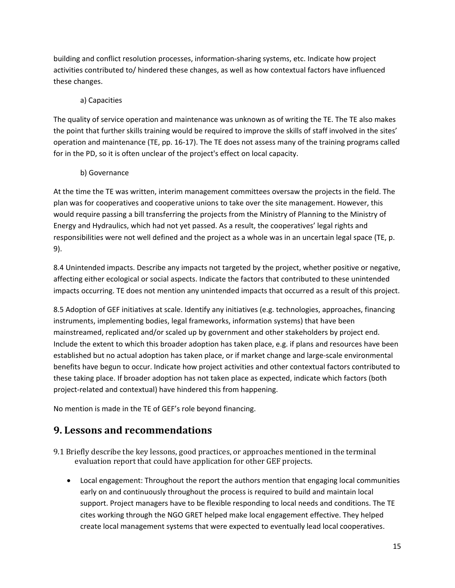building and conflict resolution processes, information-sharing systems, etc. Indicate how project activities contributed to/ hindered these changes, as well as how contextual factors have influenced these changes.

#### a) Capacities

The quality of service operation and maintenance was unknown as of writing the TE. The TE also makes the point that further skills training would be required to improve the skills of staff involved in the sites' operation and maintenance (TE, pp. 16-17). The TE does not assess many of the training programs called for in the PD, so it is often unclear of the project's effect on local capacity.

#### b) Governance

At the time the TE was written, interim management committees oversaw the projects in the field. The plan was for cooperatives and cooperative unions to take over the site management. However, this would require passing a bill transferring the projects from the Ministry of Planning to the Ministry of Energy and Hydraulics, which had not yet passed. As a result, the cooperatives' legal rights and responsibilities were not well defined and the project as a whole was in an uncertain legal space (TE, p. 9).

8.4 Unintended impacts. Describe any impacts not targeted by the project, whether positive or negative, affecting either ecological or social aspects. Indicate the factors that contributed to these unintended impacts occurring. TE does not mention any unintended impacts that occurred as a result of this project.

8.5 Adoption of GEF initiatives at scale. Identify any initiatives (e.g. technologies, approaches, financing instruments, implementing bodies, legal frameworks, information systems) that have been mainstreamed, replicated and/or scaled up by government and other stakeholders by project end. Include the extent to which this broader adoption has taken place, e.g. if plans and resources have been established but no actual adoption has taken place, or if market change and large-scale environmental benefits have begun to occur. Indicate how project activities and other contextual factors contributed to these taking place. If broader adoption has not taken place as expected, indicate which factors (both project-related and contextual) have hindered this from happening.

No mention is made in the TE of GEF's role beyond financing.

### **9. Lessons and recommendations**

- 9.1 Briefly describe the key lessons, good practices, or approaches mentioned in the terminal evaluation report that could have application for other GEF projects.
	- Local engagement: Throughout the report the authors mention that engaging local communities early on and continuously throughout the process is required to build and maintain local support. Project managers have to be flexible responding to local needs and conditions. The TE cites working through the NGO GRET helped make local engagement effective. They helped create local management systems that were expected to eventually lead local cooperatives.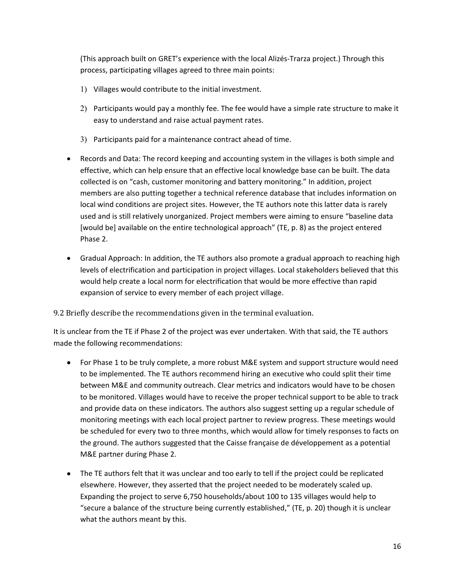(This approach built on GRET's experience with the local Alizés-Trarza project.) Through this process, participating villages agreed to three main points:

- 1) Villages would contribute to the initial investment.
- 2) Participants would pay a monthly fee. The fee would have a simple rate structure to make it easy to understand and raise actual payment rates.
- 3) Participants paid for a maintenance contract ahead of time.
- Records and Data: The record keeping and accounting system in the villages is both simple and effective, which can help ensure that an effective local knowledge base can be built. The data collected is on "cash, customer monitoring and battery monitoring." In addition, project members are also putting together a technical reference database that includes information on local wind conditions are project sites. However, the TE authors note this latter data is rarely used and is still relatively unorganized. Project members were aiming to ensure "baseline data [would be] available on the entire technological approach" (TE, p. 8) as the project entered Phase 2.
- Gradual Approach: In addition, the TE authors also promote a gradual approach to reaching high levels of electrification and participation in project villages. Local stakeholders believed that this would help create a local norm for electrification that would be more effective than rapid expansion of service to every member of each project village.

9.2 Briefly describe the recommendations given in the terminal evaluation.

It is unclear from the TE if Phase 2 of the project was ever undertaken. With that said, the TE authors made the following recommendations:

- For Phase 1 to be truly complete, a more robust M&E system and support structure would need to be implemented. The TE authors recommend hiring an executive who could split their time between M&E and community outreach. Clear metrics and indicators would have to be chosen to be monitored. Villages would have to receive the proper technical support to be able to track and provide data on these indicators. The authors also suggest setting up a regular schedule of monitoring meetings with each local project partner to review progress. These meetings would be scheduled for every two to three months, which would allow for timely responses to facts on the ground. The authors suggested that the Caisse française de développement as a potential M&E partner during Phase 2.
- The TE authors felt that it was unclear and too early to tell if the project could be replicated elsewhere. However, they asserted that the project needed to be moderately scaled up. Expanding the project to serve 6,750 households/about 100 to 135 villages would help to "secure a balance of the structure being currently established," (TE, p. 20) though it is unclear what the authors meant by this.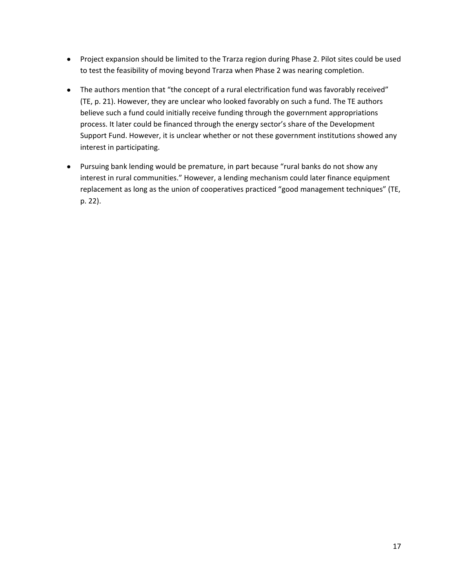- Project expansion should be limited to the Trarza region during Phase 2. Pilot sites could be used to test the feasibility of moving beyond Trarza when Phase 2 was nearing completion.
- The authors mention that "the concept of a rural electrification fund was favorably received" (TE, p. 21). However, they are unclear who looked favorably on such a fund. The TE authors believe such a fund could initially receive funding through the government appropriations process. It later could be financed through the energy sector's share of the Development Support Fund. However, it is unclear whether or not these government institutions showed any interest in participating.
- Pursuing bank lending would be premature, in part because "rural banks do not show any interest in rural communities." However, a lending mechanism could later finance equipment replacement as long as the union of cooperatives practiced "good management techniques" (TE, p. 22).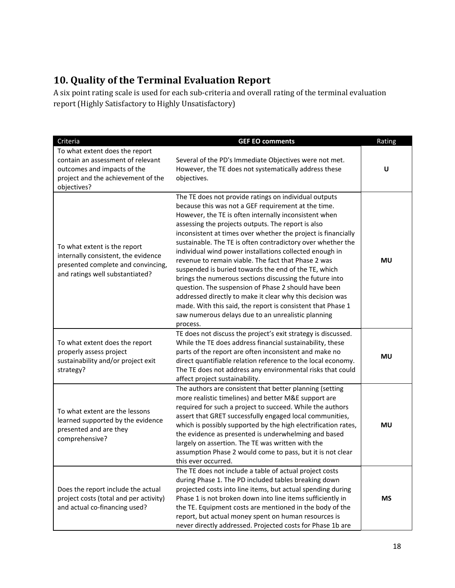## **10. Quality of the Terminal Evaluation Report**

A six point rating scale is used for each sub-criteria and overall rating of the terminal evaluation report (Highly Satisfactory to Highly Unsatisfactory)

| Criteria                                                                                                                                                | <b>GEF EO comments</b>                                                                                                                                                                                                                                                                                                                                                                                                                                                                                                                                                                                                                                                                                                                                                                                                                                 | Rating    |
|---------------------------------------------------------------------------------------------------------------------------------------------------------|--------------------------------------------------------------------------------------------------------------------------------------------------------------------------------------------------------------------------------------------------------------------------------------------------------------------------------------------------------------------------------------------------------------------------------------------------------------------------------------------------------------------------------------------------------------------------------------------------------------------------------------------------------------------------------------------------------------------------------------------------------------------------------------------------------------------------------------------------------|-----------|
| To what extent does the report<br>contain an assessment of relevant<br>outcomes and impacts of the<br>project and the achievement of the<br>objectives? | Several of the PD's Immediate Objectives were not met.<br>However, the TE does not systematically address these<br>objectives.                                                                                                                                                                                                                                                                                                                                                                                                                                                                                                                                                                                                                                                                                                                         | U         |
| To what extent is the report<br>internally consistent, the evidence<br>presented complete and convincing,<br>and ratings well substantiated?            | The TE does not provide ratings on individual outputs<br>because this was not a GEF requirement at the time.<br>However, the TE is often internally inconsistent when<br>assessing the projects outputs. The report is also<br>inconsistent at times over whether the project is financially<br>sustainable. The TE is often contradictory over whether the<br>individual wind power installations collected enough in<br>revenue to remain viable. The fact that Phase 2 was<br>suspended is buried towards the end of the TE, which<br>brings the numerous sections discussing the future into<br>question. The suspension of Phase 2 should have been<br>addressed directly to make it clear why this decision was<br>made. With this said, the report is consistent that Phase 1<br>saw numerous delays due to an unrealistic planning<br>process. | <b>MU</b> |
| To what extent does the report<br>properly assess project<br>sustainability and/or project exit<br>strategy?                                            | TE does not discuss the project's exit strategy is discussed.<br>While the TE does address financial sustainability, these<br>parts of the report are often inconsistent and make no<br>direct quantifiable relation reference to the local economy.<br>The TE does not address any environmental risks that could<br>affect project sustainability.                                                                                                                                                                                                                                                                                                                                                                                                                                                                                                   | <b>MU</b> |
| To what extent are the lessons<br>learned supported by the evidence<br>presented and are they<br>comprehensive?                                         | The authors are consistent that better planning (setting<br>more realistic timelines) and better M&E support are<br>required for such a project to succeed. While the authors<br>assert that GRET successfully engaged local communities,<br>which is possibly supported by the high electrification rates,<br>the evidence as presented is underwhelming and based<br>largely on assertion. The TE was written with the<br>assumption Phase 2 would come to pass, but it is not clear<br>this ever occurred.                                                                                                                                                                                                                                                                                                                                          | <b>MU</b> |
| Does the report include the actual<br>project costs (total and per activity)<br>and actual co-financing used?                                           | The TE does not include a table of actual project costs<br>during Phase 1. The PD included tables breaking down<br>projected costs into line items, but actual spending during<br>Phase 1 is not broken down into line items sufficiently in<br>the TE. Equipment costs are mentioned in the body of the<br>report, but actual money spent on human resources is<br>never directly addressed. Projected costs for Phase 1b are                                                                                                                                                                                                                                                                                                                                                                                                                         | <b>MS</b> |